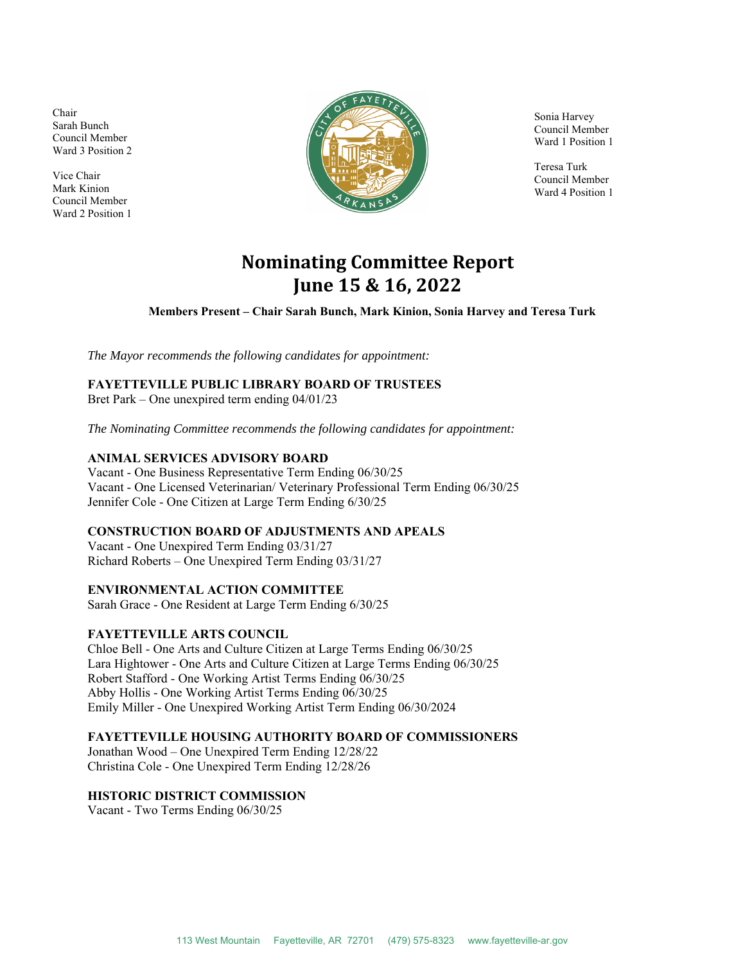Chair Sarah Bunch Council Member Ward 3 Position 2

Vice Chair Mark Kinion Council Member Ward 2 Position 1



Sonia Harvey Council Member Ward 1 Position 1

Teresa Turk Council Member Ward 4 Position 1

# **Nominating Committee Report June 15 & 16, 2022**

**Members Present – Chair Sarah Bunch, Mark Kinion, Sonia Harvey and Teresa Turk** 

*The Mayor recommends the following candidates for appointment:* 

# **FAYETTEVILLE PUBLIC LIBRARY BOARD OF TRUSTEES**

Bret Park – One unexpired term ending 04/01/23

*The Nominating Committee recommends the following candidates for appointment:* 

# **ANIMAL SERVICES ADVISORY BOARD**

Vacant - One Business Representative Term Ending 06/30/25 Vacant - One Licensed Veterinarian/ Veterinary Professional Term Ending 06/30/25 Jennifer Cole - One Citizen at Large Term Ending 6/30/25

#### **CONSTRUCTION BOARD OF ADJUSTMENTS AND APEALS**

Vacant - One Unexpired Term Ending 03/31/27 Richard Roberts – One Unexpired Term Ending 03/31/27

#### **ENVIRONMENTAL ACTION COMMITTEE**

Sarah Grace - One Resident at Large Term Ending 6/30/25

#### **FAYETTEVILLE ARTS COUNCIL**

Chloe Bell - One Arts and Culture Citizen at Large Terms Ending 06/30/25 Lara Hightower - One Arts and Culture Citizen at Large Terms Ending 06/30/25 Robert Stafford - One Working Artist Terms Ending 06/30/25 Abby Hollis - One Working Artist Terms Ending 06/30/25 Emily Miller - One Unexpired Working Artist Term Ending 06/30/2024

#### **FAYETTEVILLE HOUSING AUTHORITY BOARD OF COMMISSIONERS**

Jonathan Wood – One Unexpired Term Ending 12/28/22 Christina Cole - One Unexpired Term Ending 12/28/26

# **HISTORIC DISTRICT COMMISSION**

Vacant - Two Terms Ending 06/30/25